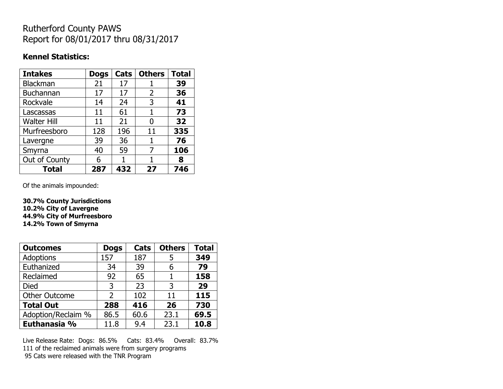## Rutherford County PAWS Report for 08/01/2017 thru 08/31/2017

#### **Kennel Statistics:**

| <b>Intakes</b>     | <b>Dogs</b> | Cats | <b>Others</b> | <b>Total</b> |
|--------------------|-------------|------|---------------|--------------|
| Blackman           | 21          | 17   |               | 39           |
| Buchannan          | 17          | 17   | 2             | 36           |
| Rockvale           | 14          | 24   | 3             | 41           |
| Lascassas          | 11          | 61   | 1             | 73           |
| <b>Walter Hill</b> | 11          | 21   | 0             | 32           |
| Murfreesboro       | 128         | 196  | 11            | 335          |
| Lavergne           | 39          | 36   | 1             | 76           |
| Smyrna             | 40          | 59   | 7             | 106          |
| Out of County      | 6           | 1    |               | 8            |
| <b>Total</b>       | 287         | 432  | 27            | 746          |

Of the animals impounded:

**30.7% County Jurisdictions 10.2% City of Lavergne 44.9% City of Murfreesboro 14.2% Town of Smyrna**

| <b>Outcomes</b>      | <b>Dogs</b>    | Cats | <b>Others</b> | <b>Total</b> |
|----------------------|----------------|------|---------------|--------------|
| Adoptions            | 157            | 187  | 5             | 349          |
| Euthanized           | 34             | 39   | 6             | 79           |
| Reclaimed            | 92             | 65   |               | 158          |
| Died                 | 3              | 23   | 3             | 29           |
| <b>Other Outcome</b> | $\overline{2}$ | 102  | 11            | 115          |
| <b>Total Out</b>     | 288            | 416  | 26            | 730          |
| Adoption/Reclaim %   | 86.5           | 60.6 | 23.1          | 69.5         |
| Euthanasia %         | 11.8           | 9.4  | 23.1          | 10.8         |

Live Release Rate: Dogs: 86.5% Cats: 83.4% Overall: 83.7% 111 of the reclaimed animals were from surgery programs 95 Cats were released with the TNR Program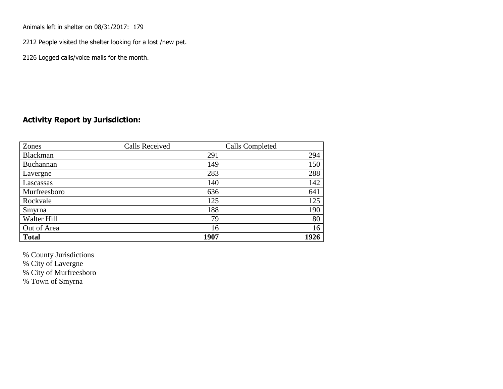Animals left in shelter on 08/31/2017: 179

2212 People visited the shelter looking for a lost /new pet.

2126 Logged calls/voice mails for the month.

## **Activity Report by Jurisdiction:**

| Zones           | <b>Calls Received</b> | Calls Completed |
|-----------------|-----------------------|-----------------|
| <b>Blackman</b> | 291                   | 294             |
| Buchannan       | 149                   | 150             |
| Lavergne        | 283                   | 288             |
| Lascassas       | 140                   | 142             |
| Murfreesboro    | 636                   | 641             |
| Rockvale        | 125                   | 125             |
| Smyrna          | 188                   | 190             |
| Walter Hill     | 79                    | 80              |
| Out of Area     | 16                    | 16              |
| <b>Total</b>    | 1907                  | 1926            |

% County Jurisdictions

% City of Lavergne

% City of Murfreesboro

% Town of Smyrna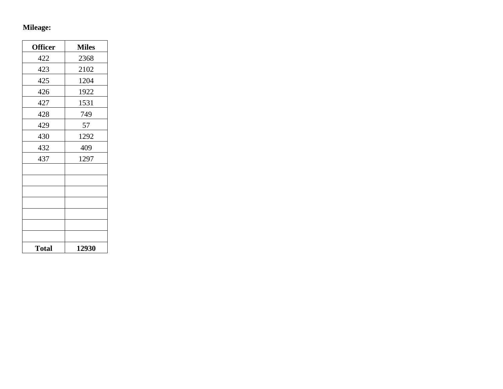# **Mileage:**

| <b>Officer</b> | <b>Miles</b> |
|----------------|--------------|
| 422            | 2368         |
| 423            | 2102         |
| 425            | 1204         |
| 426            | 1922         |
| 427            | 1531         |
| 428            | 749          |
| 429            | 57           |
| 430            | 1292         |
| 432            | 409          |
| 437            | 1297         |
|                |              |
|                |              |
|                |              |
|                |              |
|                |              |
|                |              |
|                |              |
| <b>Total</b>   | 12930        |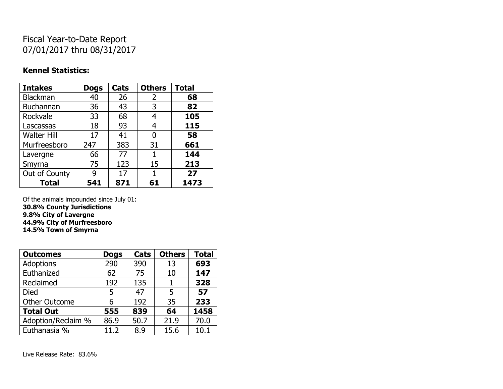## Fiscal Year-to-Date Report 07/01/2017 thru 08/31/2017

#### **Kennel Statistics:**

| <b>Intakes</b>     | <b>Dogs</b> | Cats | <b>Others</b> | <b>Total</b> |
|--------------------|-------------|------|---------------|--------------|
| <b>Blackman</b>    | 40          | 26   | 2             | 68           |
| Buchannan          | 36          | 43   | 3             | 82           |
| Rockvale           | 33          | 68   | 4             | 105          |
| Lascassas          | 18          | 93   | 4             | 115          |
| <b>Walter Hill</b> | 17          | 41   | O             | 58           |
| Murfreesboro       | 247         | 383  | 31            | 661          |
| Lavergne           | 66          | 77   | 1             | 144          |
| Smyrna             | 75          | 123  | 15            | 213          |
| Out of County      | g           | 17   | 1             | 27           |
| <b>Total</b>       | 541         | 871  | 61            | 1473         |

Of the animals impounded since July 01: **30.8% County Jurisdictions 9.8% City of Lavergne 44.9% City of Murfreesboro 14.5% Town of Smyrna**

| <b>Outcomes</b>      | <b>Dogs</b> | Cats | <b>Others</b> | <b>Total</b> |
|----------------------|-------------|------|---------------|--------------|
| <b>Adoptions</b>     | 290         | 390  | 13            | 693          |
| Euthanized           | 62          | 75   | 10            | 147          |
| Reclaimed            | 192         | 135  | 1             | 328          |
| <b>Died</b>          | 5           | 47   | 5             | 57           |
| <b>Other Outcome</b> | 6           | 192  | 35            | 233          |
| <b>Total Out</b>     | 555         | 839  | 64            | 1458         |
| Adoption/Reclaim %   | 86.9        | 50.7 | 21.9          | 70.0         |
| Euthanasia %         | 11.2        | 8.9  | 15.6          | 10.1         |

Live Release Rate: 83.6%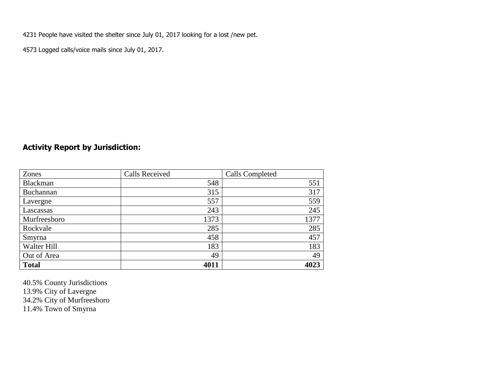4231 People have visited the shelter since July 01, 2017 looking for a lost /new pet.

4573 Logged calls/voice mails since July 01, 2017.

## **Activity Report by Jurisdiction:**

| Zones           | <b>Calls Received</b> | <b>Calls Completed</b> |
|-----------------|-----------------------|------------------------|
| <b>Blackman</b> | 548                   | 551                    |
| Buchannan       | 315                   | 317                    |
| Lavergne        | 557                   | 559                    |
| Lascassas       | 243                   | 245                    |
| Murfreesboro    | 1373                  | 1377                   |
| Rockvale        | 285                   | 285                    |
| Smyrna          | 458                   | 457                    |
| Walter Hill     | 183                   | 183                    |
| Out of Area     | 49                    | 49                     |
| <b>Total</b>    | 4011                  | 4023                   |

40.5% County Jurisdictions 13.9% City of Lavergne 34.2% City of Murfreesboro 11.4% Town of Smyrna